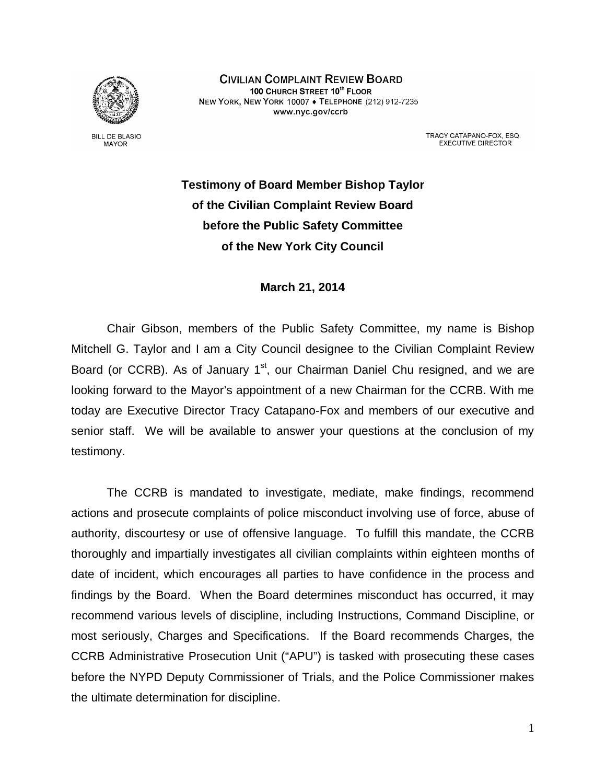

**BILL DE BLASIO MAYOR** 

**CIVILIAN COMPLAINT REVIEW BOARD** 100 CHURCH STREET 10th FLOOR NEW YORK, NEW YORK 10007 . TELEPHONE (212) 912-7235 www.nyc.gov/ccrb

> TRACY CATAPANO-FOX, ESQ. **EXECUTIVE DIRECTOR**

**Testimony of Board Member Bishop Taylor of the Civilian Complaint Review Board before the Public Safety Committee of the New York City Council**

## **March 21, 2014**

Chair Gibson, members of the Public Safety Committee, my name is Bishop Mitchell G. Taylor and I am a City Council designee to the Civilian Complaint Review Board (or CCRB). As of January  $1<sup>st</sup>$ , our Chairman Daniel Chu resigned, and we are looking forward to the Mayor's appointment of a new Chairman for the CCRB. With me today are Executive Director Tracy Catapano-Fox and members of our executive and senior staff. We will be available to answer your questions at the conclusion of my testimony.

The CCRB is mandated to investigate, mediate, make findings, recommend actions and prosecute complaints of police misconduct involving use of force, abuse of authority, discourtesy or use of offensive language. To fulfill this mandate, the CCRB thoroughly and impartially investigates all civilian complaints within eighteen months of date of incident, which encourages all parties to have confidence in the process and findings by the Board. When the Board determines misconduct has occurred, it may recommend various levels of discipline, including Instructions, Command Discipline, or most seriously, Charges and Specifications. If the Board recommends Charges, the CCRB Administrative Prosecution Unit ("APU") is tasked with prosecuting these cases before the NYPD Deputy Commissioner of Trials, and the Police Commissioner makes the ultimate determination for discipline.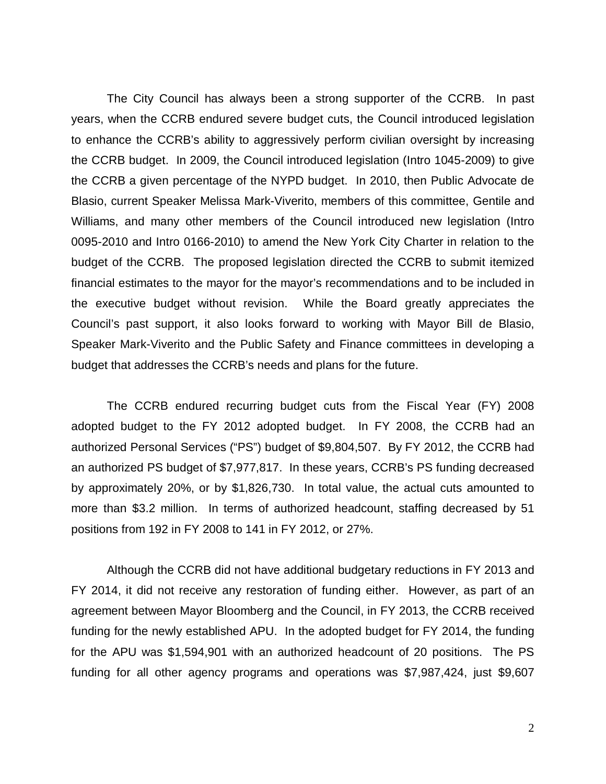The City Council has always been a strong supporter of the CCRB. In past years, when the CCRB endured severe budget cuts, the Council introduced legislation to enhance the CCRB's ability to aggressively perform civilian oversight by increasing the CCRB budget. In 2009, the Council introduced legislation (Intro 1045-2009) to give the CCRB a given percentage of the NYPD budget. In 2010, then Public Advocate de Blasio, current Speaker Melissa Mark-Viverito, members of this committee, Gentile and Williams, and many other members of the Council introduced new legislation (Intro 0095-2010 and Intro 0166-2010) to amend the New York City Charter in relation to the budget of the CCRB. The proposed legislation directed the CCRB to submit itemized financial estimates to the mayor for the mayor's recommendations and to be included in the executive budget without revision. While the Board greatly appreciates the Council's past support, it also looks forward to working with Mayor Bill de Blasio, Speaker Mark-Viverito and the Public Safety and Finance committees in developing a budget that addresses the CCRB's needs and plans for the future.

The CCRB endured recurring budget cuts from the Fiscal Year (FY) 2008 adopted budget to the FY 2012 adopted budget. In FY 2008, the CCRB had an authorized Personal Services ("PS") budget of \$9,804,507. By FY 2012, the CCRB had an authorized PS budget of \$7,977,817. In these years, CCRB's PS funding decreased by approximately 20%, or by \$1,826,730. In total value, the actual cuts amounted to more than \$3.2 million. In terms of authorized headcount, staffing decreased by 51 positions from 192 in FY 2008 to 141 in FY 2012, or 27%.

Although the CCRB did not have additional budgetary reductions in FY 2013 and FY 2014, it did not receive any restoration of funding either. However, as part of an agreement between Mayor Bloomberg and the Council, in FY 2013, the CCRB received funding for the newly established APU. In the adopted budget for FY 2014, the funding for the APU was \$1,594,901 with an authorized headcount of 20 positions. The PS funding for all other agency programs and operations was \$7,987,424, just \$9,607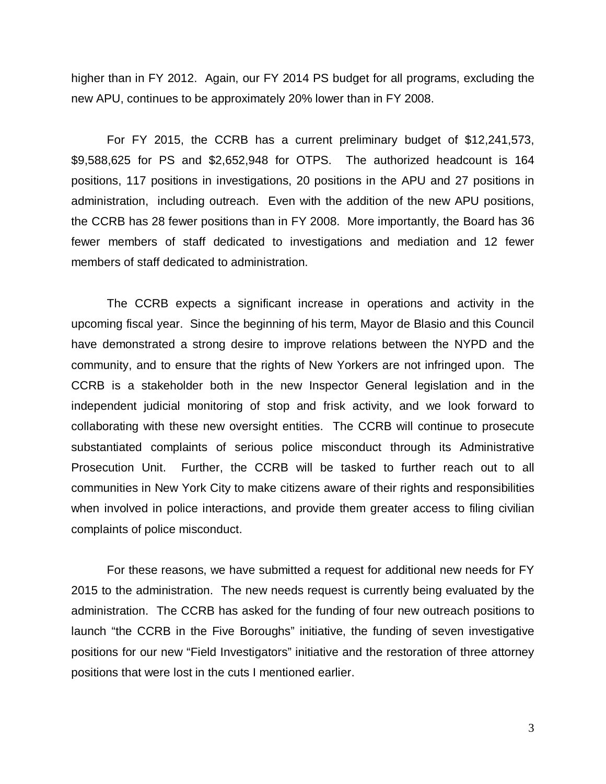higher than in FY 2012. Again, our FY 2014 PS budget for all programs, excluding the new APU, continues to be approximately 20% lower than in FY 2008.

For FY 2015, the CCRB has a current preliminary budget of \$12,241,573, \$9,588,625 for PS and \$2,652,948 for OTPS. The authorized headcount is 164 positions, 117 positions in investigations, 20 positions in the APU and 27 positions in administration, including outreach. Even with the addition of the new APU positions, the CCRB has 28 fewer positions than in FY 2008. More importantly, the Board has 36 fewer members of staff dedicated to investigations and mediation and 12 fewer members of staff dedicated to administration.

The CCRB expects a significant increase in operations and activity in the upcoming fiscal year. Since the beginning of his term, Mayor de Blasio and this Council have demonstrated a strong desire to improve relations between the NYPD and the community, and to ensure that the rights of New Yorkers are not infringed upon. The CCRB is a stakeholder both in the new Inspector General legislation and in the independent judicial monitoring of stop and frisk activity, and we look forward to collaborating with these new oversight entities. The CCRB will continue to prosecute substantiated complaints of serious police misconduct through its Administrative Prosecution Unit. Further, the CCRB will be tasked to further reach out to all communities in New York City to make citizens aware of their rights and responsibilities when involved in police interactions, and provide them greater access to filing civilian complaints of police misconduct.

For these reasons, we have submitted a request for additional new needs for FY 2015 to the administration. The new needs request is currently being evaluated by the administration. The CCRB has asked for the funding of four new outreach positions to launch "the CCRB in the Five Boroughs" initiative, the funding of seven investigative positions for our new "Field Investigators" initiative and the restoration of three attorney positions that were lost in the cuts I mentioned earlier.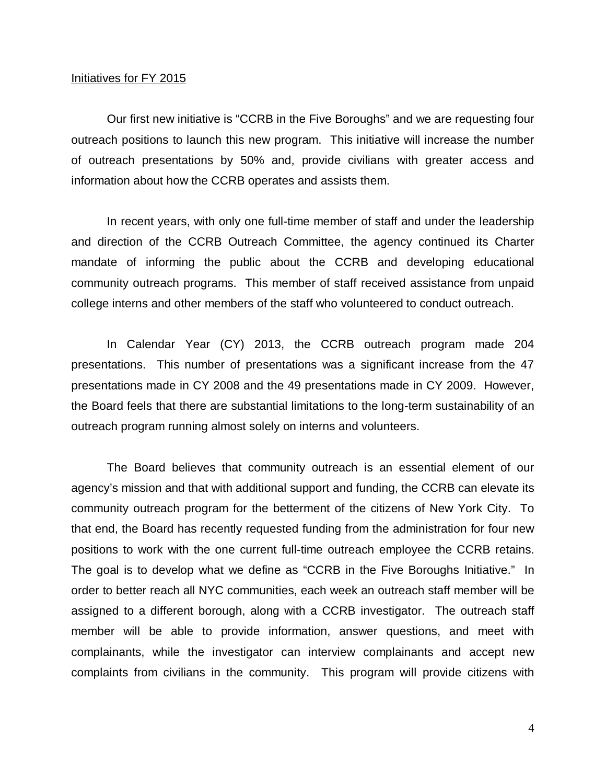## Initiatives for FY 2015

Our first new initiative is "CCRB in the Five Boroughs" and we are requesting four outreach positions to launch this new program. This initiative will increase the number of outreach presentations by 50% and, provide civilians with greater access and information about how the CCRB operates and assists them.

In recent years, with only one full-time member of staff and under the leadership and direction of the CCRB Outreach Committee, the agency continued its Charter mandate of informing the public about the CCRB and developing educational community outreach programs. This member of staff received assistance from unpaid college interns and other members of the staff who volunteered to conduct outreach.

In Calendar Year (CY) 2013, the CCRB outreach program made 204 presentations. This number of presentations was a significant increase from the 47 presentations made in CY 2008 and the 49 presentations made in CY 2009. However, the Board feels that there are substantial limitations to the long-term sustainability of an outreach program running almost solely on interns and volunteers.

The Board believes that community outreach is an essential element of our agency's mission and that with additional support and funding, the CCRB can elevate its community outreach program for the betterment of the citizens of New York City. To that end, the Board has recently requested funding from the administration for four new positions to work with the one current full-time outreach employee the CCRB retains. The goal is to develop what we define as "CCRB in the Five Boroughs Initiative." In order to better reach all NYC communities, each week an outreach staff member will be assigned to a different borough, along with a CCRB investigator. The outreach staff member will be able to provide information, answer questions, and meet with complainants, while the investigator can interview complainants and accept new complaints from civilians in the community. This program will provide citizens with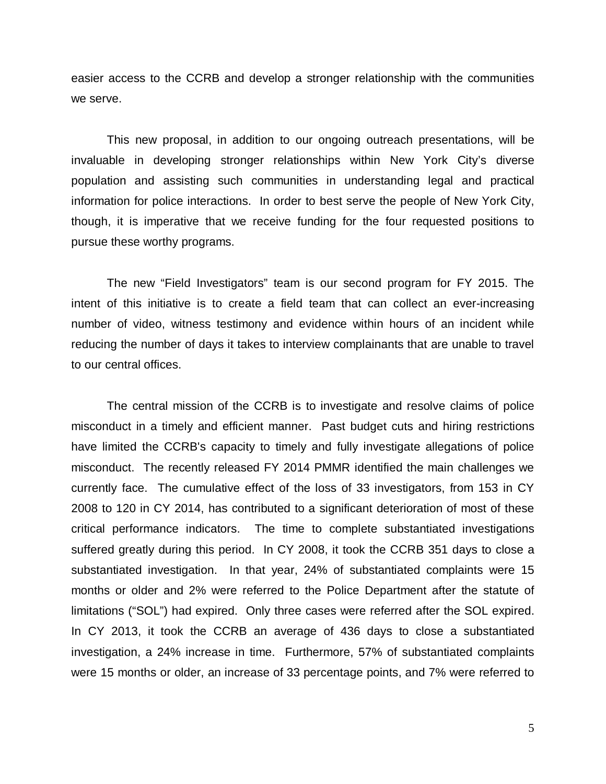easier access to the CCRB and develop a stronger relationship with the communities we serve.

This new proposal, in addition to our ongoing outreach presentations, will be invaluable in developing stronger relationships within New York City's diverse population and assisting such communities in understanding legal and practical information for police interactions. In order to best serve the people of New York City, though, it is imperative that we receive funding for the four requested positions to pursue these worthy programs.

The new "Field Investigators" team is our second program for FY 2015. The intent of this initiative is to create a field team that can collect an ever-increasing number of video, witness testimony and evidence within hours of an incident while reducing the number of days it takes to interview complainants that are unable to travel to our central offices.

The central mission of the CCRB is to investigate and resolve claims of police misconduct in a timely and efficient manner. Past budget cuts and hiring restrictions have limited the CCRB's capacity to timely and fully investigate allegations of police misconduct. The recently released FY 2014 PMMR identified the main challenges we currently face. The cumulative effect of the loss of 33 investigators, from 153 in CY 2008 to 120 in CY 2014, has contributed to a significant deterioration of most of these critical performance indicators. The time to complete substantiated investigations suffered greatly during this period. In CY 2008, it took the CCRB 351 days to close a substantiated investigation. In that year, 24% of substantiated complaints were 15 months or older and 2% were referred to the Police Department after the statute of limitations ("SOL") had expired. Only three cases were referred after the SOL expired. In CY 2013, it took the CCRB an average of 436 days to close a substantiated investigation, a 24% increase in time. Furthermore, 57% of substantiated complaints were 15 months or older, an increase of 33 percentage points, and 7% were referred to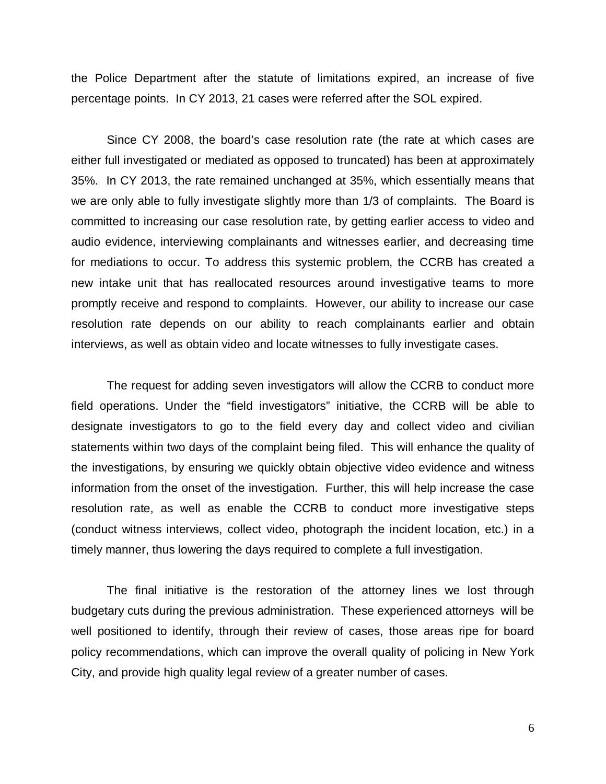the Police Department after the statute of limitations expired, an increase of five percentage points. In CY 2013, 21 cases were referred after the SOL expired.

Since CY 2008, the board's case resolution rate (the rate at which cases are either full investigated or mediated as opposed to truncated) has been at approximately 35%. In CY 2013, the rate remained unchanged at 35%, which essentially means that we are only able to fully investigate slightly more than 1/3 of complaints. The Board is committed to increasing our case resolution rate, by getting earlier access to video and audio evidence, interviewing complainants and witnesses earlier, and decreasing time for mediations to occur. To address this systemic problem, the CCRB has created a new intake unit that has reallocated resources around investigative teams to more promptly receive and respond to complaints. However, our ability to increase our case resolution rate depends on our ability to reach complainants earlier and obtain interviews, as well as obtain video and locate witnesses to fully investigate cases.

The request for adding seven investigators will allow the CCRB to conduct more field operations. Under the "field investigators" initiative, the CCRB will be able to designate investigators to go to the field every day and collect video and civilian statements within two days of the complaint being filed. This will enhance the quality of the investigations, by ensuring we quickly obtain objective video evidence and witness information from the onset of the investigation. Further, this will help increase the case resolution rate, as well as enable the CCRB to conduct more investigative steps (conduct witness interviews, collect video, photograph the incident location, etc.) in a timely manner, thus lowering the days required to complete a full investigation.

The final initiative is the restoration of the attorney lines we lost through budgetary cuts during the previous administration. These experienced attorneys will be well positioned to identify, through their review of cases, those areas ripe for board policy recommendations, which can improve the overall quality of policing in New York City, and provide high quality legal review of a greater number of cases.

6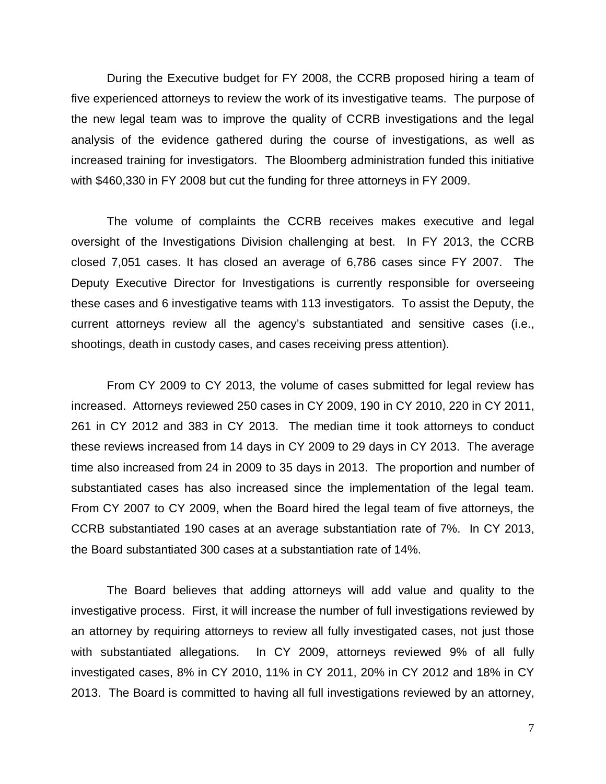During the Executive budget for FY 2008, the CCRB proposed hiring a team of five experienced attorneys to review the work of its investigative teams. The purpose of the new legal team was to improve the quality of CCRB investigations and the legal analysis of the evidence gathered during the course of investigations, as well as increased training for investigators. The Bloomberg administration funded this initiative with \$460,330 in FY 2008 but cut the funding for three attorneys in FY 2009.

The volume of complaints the CCRB receives makes executive and legal oversight of the Investigations Division challenging at best. In FY 2013, the CCRB closed 7,051 cases. It has closed an average of 6,786 cases since FY 2007. The Deputy Executive Director for Investigations is currently responsible for overseeing these cases and 6 investigative teams with 113 investigators. To assist the Deputy, the current attorneys review all the agency's substantiated and sensitive cases (i.e., shootings, death in custody cases, and cases receiving press attention).

From CY 2009 to CY 2013, the volume of cases submitted for legal review has increased. Attorneys reviewed 250 cases in CY 2009, 190 in CY 2010, 220 in CY 2011, 261 in CY 2012 and 383 in CY 2013. The median time it took attorneys to conduct these reviews increased from 14 days in CY 2009 to 29 days in CY 2013. The average time also increased from 24 in 2009 to 35 days in 2013. The proportion and number of substantiated cases has also increased since the implementation of the legal team. From CY 2007 to CY 2009, when the Board hired the legal team of five attorneys, the CCRB substantiated 190 cases at an average substantiation rate of 7%. In CY 2013, the Board substantiated 300 cases at a substantiation rate of 14%.

The Board believes that adding attorneys will add value and quality to the investigative process. First, it will increase the number of full investigations reviewed by an attorney by requiring attorneys to review all fully investigated cases, not just those with substantiated allegations. In CY 2009, attorneys reviewed 9% of all fully investigated cases, 8% in CY 2010, 11% in CY 2011, 20% in CY 2012 and 18% in CY 2013. The Board is committed to having all full investigations reviewed by an attorney,